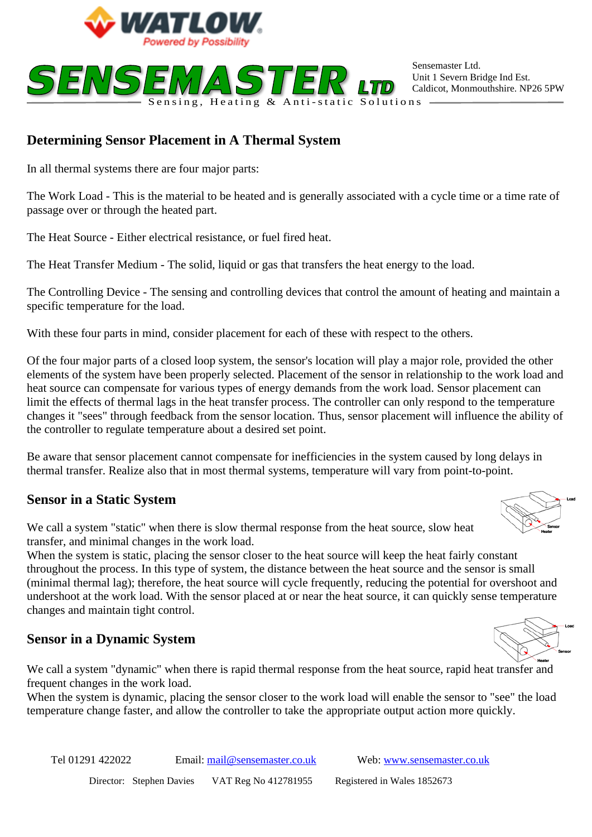



Sensemaster Ltd. Unit 1 Severn Bridge Ind Est. Caldicot, Monmouthshire. NP26 5PW

# **Determining Sensor Placement in A Thermal System**

In all thermal systems there are four major parts:

The Work Load - This is the material to be heated and is generally associated with a cycle time or a time rate of passage over or through the heated part.

The Heat Source - Either electrical resistance, or fuel fired heat.

The Heat Transfer Medium - The solid, liquid or gas that transfers the heat energy to the load.

The Controlling Device - The sensing and controlling devices that control the amount of heating and maintain a specific temperature for the load.

With these four parts in mind, consider placement for each of these with respect to the others.

Of the four major parts of a closed loop system, the sensor's location will play a major role, provided the other elements of the system have been properly selected. Placement of the sensor in relationship to the work load and heat source can compensate for various types of energy demands from the work load. Sensor placement can limit the effects of thermal lags in the heat transfer process. The controller can only respond to the temperature changes it "sees" through feedback from the sensor location. Thus, sensor placement will influence the ability of the controller to regulate temperature about a desired set point.

Be aware that sensor placement cannot compensate for inefficiencies in the system caused by long delays in thermal transfer. Realize also that in most thermal systems, temperature will vary from point-to-point.

### **Sensor in a Static System**

We call a system "static" when there is slow thermal response from the heat source, slow heat transfer, and minimal changes in the work load.

When the system is static, placing the sensor closer to the heat source will keep the heat fairly constant throughout the process. In this type of system, the distance between the heat source and the sensor is small (minimal thermal lag); therefore, the heat source will cycle frequently, reducing the potential for overshoot and undershoot at the work load. With the sensor placed at or near the heat source, it can quickly sense temperature changes and maintain tight control.

#### **Sensor in a Dynamic System**

We call a system "dynamic" when there is rapid thermal response from the heat source, rapid heat transfer and frequent changes in the work load.

When the system is dynamic, placing the sensor closer to the work load will enable the sensor to "see" the load temperature change faster, and allow the controller to take the appropriate output action more quickly.

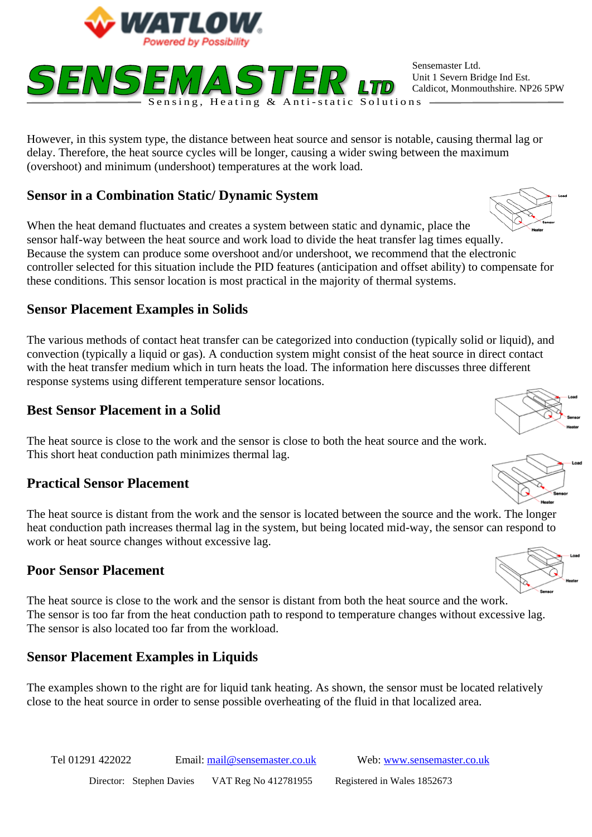



Sensemaster Ltd. Unit 1 Severn Bridge Ind Est. Caldicot, Monmouthshire. NP26 5PW

delay. Therefore, the heat source cycles will be longer, causing a wider swing between the maximum delay. However, in this system type, the distance between heat source and sensor is notable, causing thermal lag or (overshoot) and minimum (undershoot) temperatures at the work load.

### **Sensor in a Combination Static/ Dynamic System**

When the heat demand fluctuates and creates a system between static and dynamic, place the sensor half-way between the heat source and work load to divide the heat transfer lag times equally. Because the system can produce some overshoot and/or undershoot, we recommend that the electronic controller selected for this situation include the PID features (anticipation and offset ability) to compensate for these conditions. This sensor location is most practical in the majority of thermal systems.

### **Sensor Placement Examples in Solids**

The various methods of contact heat transfer can be categorized into conduction (typically solid or liquid), and convection (typically a liquid or gas). A conduction system might consist of the heat source in direct contact with the heat transfer medium which in turn heats the load. The information here discusses three different response systems using different temperature sensor locations.

### **Best Sensor Placement in a Solid**

The heat source is close to the work and the sensor is close to both the heat source and the work. This short heat conduction path minimizes thermal lag.

#### **Practical Sensor Placement**

The heat source is distant from the work and the sensor is located between the source and the work. The longer heat conduction path increases thermal lag in the system, but being located mid-way, the sensor can respond to work or heat source changes without excessive lag.

### **Poor Sensor Placement**

The heat source is close to the work and the sensor is distant from both the heat source and the work. The sensor is too far from the heat conduction path to respond to temperature changes without excessive lag. The sensor is also located too far from the workload.

### **Sensor Placement Examples in Liquids**

The examples shown to the right are for liquid tank heating. As shown, the sensor must be located relatively close to the heat source in order to sense possible overheating of the fluid in that localized area.